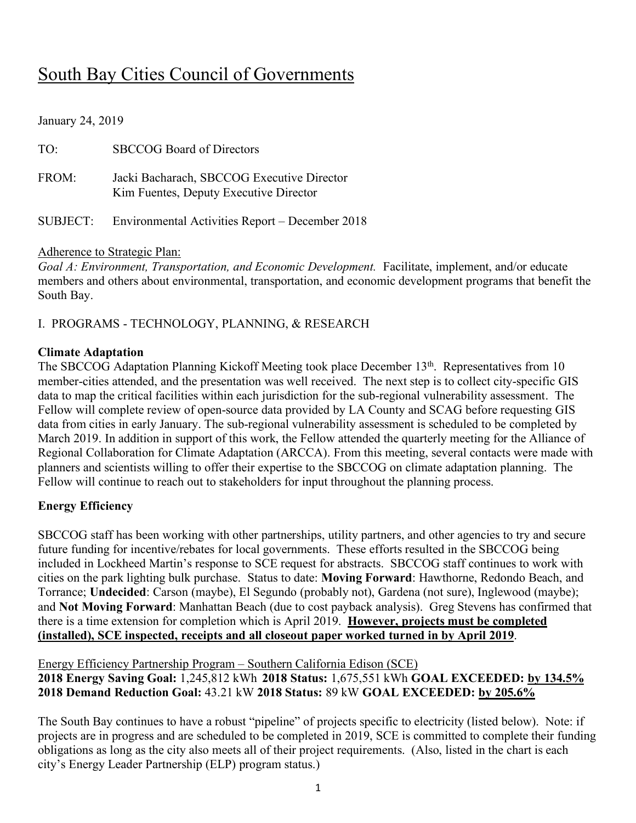# South Bay Cities Council of Governments

| January 24, 2019 |                                                                                      |
|------------------|--------------------------------------------------------------------------------------|
| TO:              | <b>SBCCOG Board of Directors</b>                                                     |
| FROM:            | Jacki Bacharach, SBCCOG Executive Director<br>Kim Fuentes, Deputy Executive Director |
| <b>SUBJECT:</b>  | Environmental Activities Report – December 2018                                      |

#### Adherence to Strategic Plan:

*Goal A: Environment, Transportation, and Economic Development.* Facilitate, implement, and/or educate members and others about environmental, transportation, and economic development programs that benefit the South Bay.

I. PROGRAMS - TECHNOLOGY, PLANNING, & RESEARCH

### **Climate Adaptation**

The SBCCOG Adaptation Planning Kickoff Meeting took place December 13<sup>th</sup>. Representatives from 10 member-cities attended, and the presentation was well received. The next step is to collect city-specific GIS data to map the critical facilities within each jurisdiction for the sub-regional vulnerability assessment. The Fellow will complete review of open-source data provided by LA County and SCAG before requesting GIS data from cities in early January. The sub-regional vulnerability assessment is scheduled to be completed by March 2019. In addition in support of this work, the Fellow attended the quarterly meeting for the Alliance of Regional Collaboration for Climate Adaptation (ARCCA). From this meeting, several contacts were made with planners and scientists willing to offer their expertise to the SBCCOG on climate adaptation planning. The Fellow will continue to reach out to stakeholders for input throughout the planning process.

# **Energy Efficiency**

SBCCOG staff has been working with other partnerships, utility partners, and other agencies to try and secure future funding for incentive/rebates for local governments. These efforts resulted in the SBCCOG being included in Lockheed Martin's response to SCE request for abstracts. SBCCOG staff continues to work with cities on the park lighting bulk purchase. Status to date: **Moving Forward**: Hawthorne, Redondo Beach, and Torrance; **Undecided**: Carson (maybe), El Segundo (probably not), Gardena (not sure), Inglewood (maybe); and **Not Moving Forward**: Manhattan Beach (due to cost payback analysis). Greg Stevens has confirmed that there is a time extension for completion which is April 2019. **However, projects must be completed (installed), SCE inspected, receipts and all closeout paper worked turned in by April 2019**.

Energy Efficiency Partnership Program – Southern California Edison (SCE) **2018 Energy Saving Goal:** 1,245,812 kWh **2018 Status:** 1,675,551 kWh **GOAL EXCEEDED: by 134.5% 2018 Demand Reduction Goal:** 43.21 kW **2018 Status:** 89 kW **GOAL EXCEEDED: by 205.6%**

The South Bay continues to have a robust "pipeline" of projects specific to electricity (listed below). Note: if projects are in progress and are scheduled to be completed in 2019, SCE is committed to complete their funding obligations as long as the city also meets all of their project requirements. (Also, listed in the chart is each city's Energy Leader Partnership (ELP) program status.)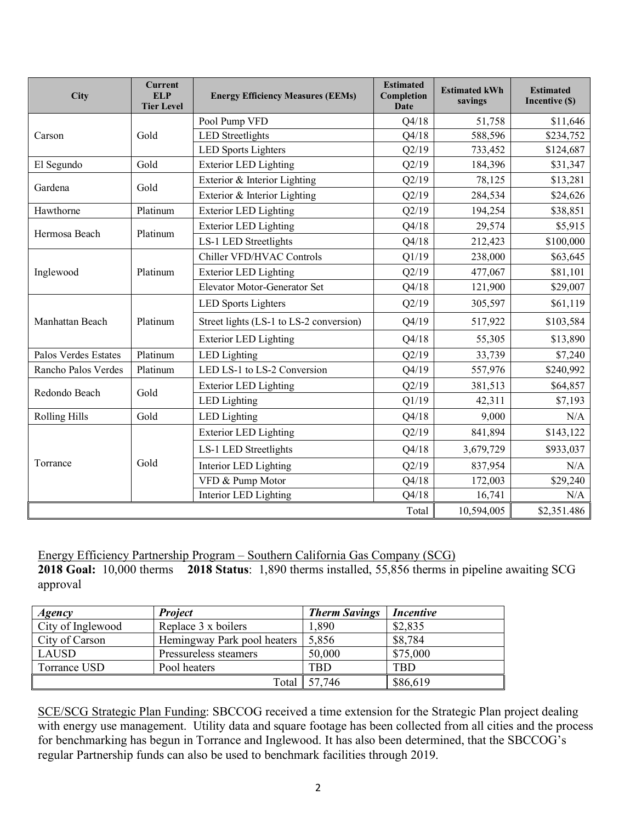| <b>City</b>          | <b>Current</b><br><b>ELP</b><br><b>Tier Level</b> | <b>Energy Efficiency Measures (EEMs)</b> | <b>Estimated</b><br>Completion<br><b>Date</b> | <b>Estimated kWh</b><br>savings | <b>Estimated</b><br>Incentive (\$) |
|----------------------|---------------------------------------------------|------------------------------------------|-----------------------------------------------|---------------------------------|------------------------------------|
|                      |                                                   | Pool Pump VFD                            | Q4/18                                         | 51,758                          | \$11,646                           |
| Carson               | Gold                                              | <b>LED</b> Streetlights                  | Q4/18                                         | 588,596                         | \$234,752                          |
|                      |                                                   | <b>LED Sports Lighters</b>               | Q2/19                                         | 733,452                         | \$124,687                          |
| El Segundo           | Gold                                              | <b>Exterior LED Lighting</b>             | Q2/19                                         | 184,396                         | \$31,347                           |
| Gardena              | Gold                                              | Exterior & Interior Lighting             | Q2/19                                         | 78,125                          | \$13,281                           |
|                      |                                                   | Exterior & Interior Lighting             | Q2/19                                         | 284,534                         | \$24,626                           |
| Hawthorne            | Platinum                                          | <b>Exterior LED Lighting</b>             | Q2/19                                         | 194,254                         | \$38,851                           |
|                      | Platinum                                          | <b>Exterior LED Lighting</b>             | Q4/18                                         | 29,574                          | \$5,915                            |
| Hermosa Beach        |                                                   | LS-1 LED Streetlights                    | Q4/18                                         | 212,423                         | \$100,000                          |
|                      |                                                   | Chiller VFD/HVAC Controls                | Q1/19                                         | 238,000                         | \$63,645                           |
| Inglewood            | Platinum                                          | <b>Exterior LED Lighting</b>             | Q2/19                                         | 477,067                         | \$81,101                           |
|                      |                                                   | <b>Elevator Motor-Generator Set</b>      | Q4/18                                         | 121,900                         | \$29,007                           |
|                      |                                                   | <b>LED Sports Lighters</b>               | Q2/19                                         | 305,597                         | \$61,119                           |
| Manhattan Beach      | Platinum                                          | Street lights (LS-1 to LS-2 conversion)  | Q4/19                                         | 517,922                         | \$103,584                          |
|                      |                                                   | <b>Exterior LED Lighting</b>             | Q4/18                                         | 55,305                          | \$13,890                           |
| Palos Verdes Estates | Platinum                                          | <b>LED</b> Lighting                      | Q2/19                                         | 33,739                          | \$7,240                            |
| Rancho Palos Verdes  | Platinum                                          | LED LS-1 to LS-2 Conversion              | Q4/19                                         | 557,976                         | \$240,992                          |
| Redondo Beach        | Gold                                              | <b>Exterior LED Lighting</b>             | Q2/19                                         | 381,513                         | \$64,857                           |
|                      |                                                   | <b>LED</b> Lighting                      | Q1/19                                         | 42,311                          | \$7,193                            |
| <b>Rolling Hills</b> | Gold                                              | <b>LED</b> Lighting                      | Q4/18                                         | 9,000                           | N/A                                |
|                      |                                                   | <b>Exterior LED Lighting</b>             | Q2/19                                         | 841,894                         | \$143,122                          |
| Torrance             |                                                   | LS-1 LED Streetlights                    | Q4/18                                         | 3,679,729                       | \$933,037                          |
|                      | Gold                                              | Interior LED Lighting                    | Q2/19                                         | 837,954                         | N/A                                |
|                      |                                                   | VFD & Pump Motor                         | Q4/18                                         | 172,003                         | \$29,240                           |
|                      |                                                   | Interior LED Lighting                    | Q4/18                                         | 16,741                          | N/A                                |
|                      |                                                   |                                          | Total                                         | 10,594,005                      | \$2,351.486                        |

Energy Efficiency Partnership Program – Southern California Gas Company (SCG) **2018 Goal:** 10,000 therms **2018 Status**: 1,890 therms installed, 55,856 therms in pipeline awaiting SCG approval

| Agency            | <b>Project</b>              | <b>Therm Savings</b> | Incentive  |
|-------------------|-----------------------------|----------------------|------------|
| City of Inglewood | Replace 3 x boilers         | 1,890                | \$2,835    |
| City of Carson    | Hemingway Park pool heaters | 5,856                | \$8,784    |
| <b>LAUSD</b>      | Pressureless steamers       | 50,000               | \$75,000   |
| Torrance USD      | Pool heaters                | TBD                  | <b>TBD</b> |
|                   | Total                       | 57,746               | \$86,619   |

SCE/SCG Strategic Plan Funding: SBCCOG received a time extension for the Strategic Plan project dealing with energy use management. Utility data and square footage has been collected from all cities and the process for benchmarking has begun in Torrance and Inglewood. It has also been determined, that the SBCCOG's regular Partnership funds can also be used to benchmark facilities through 2019.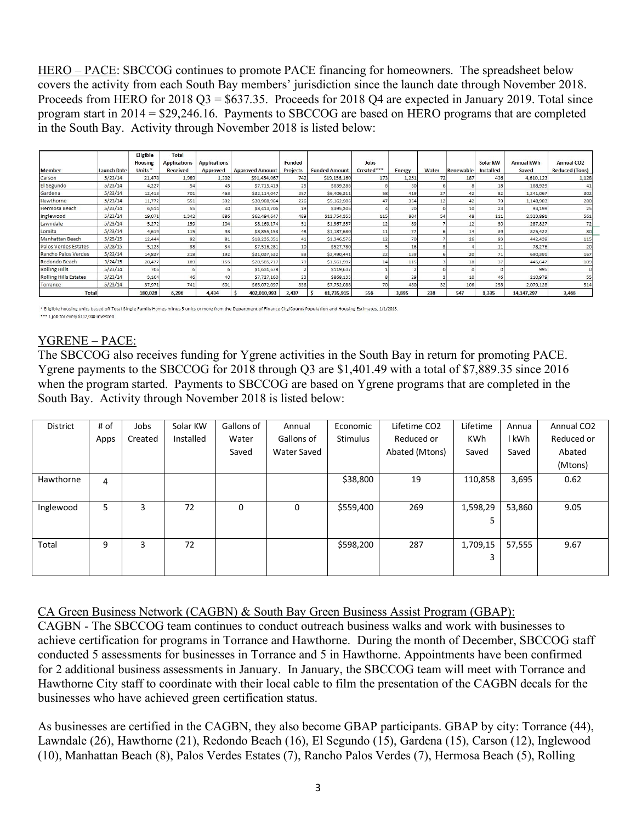HERO – PACE: SBCCOG continues to promote PACE financing for homeowners. The spreadsheet below covers the activity from each South Bay members' jurisdiction since the launch date through November 2018. Proceeds from HERO for  $2018 \text{ Q}3 = $637.35$ . Proceeds for  $2018 \text{ Q}4$  are expected in January 2019. Total since program start in 2014 = \$29,246.16. Payments to SBCCOG are based on HERO programs that are completed in the South Bay. Activity through November 2018 is listed below:

|                              |                    | Eligible           | <b>Total</b>        |                     |                        |                 |                      |            |                |       |                  |                  |                   |                       |
|------------------------------|--------------------|--------------------|---------------------|---------------------|------------------------|-----------------|----------------------|------------|----------------|-------|------------------|------------------|-------------------|-----------------------|
|                              |                    | <b>Housing</b>     | <b>Applications</b> | <b>Applications</b> |                        | Funded          |                      | Jobs       |                |       |                  | Solar kW         | <b>Annual kWh</b> | <b>Annual CO2</b>     |
| <b>Member</b>                | <b>Launch Date</b> | Units <sup>*</sup> | <b>Received</b>     | Approved            | <b>Approved Amount</b> | <b>Projects</b> | <b>Funded Amount</b> | Created*** | <b>Energy</b>  | Water | <b>Renewable</b> | <b>Installed</b> | Saved             | <b>Reduced (Tons)</b> |
| Carson                       | 5/23/14            | 21,478             | 1,989               | 1,302               | \$91,454,067           | 742             | \$19,156,160         | 173        | 1,251          | 72    | 187              | 436              | 4,610,123         | 1,128                 |
| El Segundo                   | 5/23/14            | 4,227              | 54                  | 45                  | \$7,715,419            | 25              | \$639,286            |            | 3 <sub>C</sub> |       |                  | 18               | 168,929           |                       |
| Gardena                      | 5/23/14            | 12,413             | 701                 | 463                 | \$32,114,047           | 257             | \$6,406,311          | 58         | 419            | 27    | 42               | 82               | 1,241,067         | 302                   |
| Hawthorne                    | 5/23/14            | 11,772             | 551                 | 392                 | \$30,988,964           | 226             | \$5,162,906          | 47         | 354            | 12    | 42               | 79               | 1.148.983         | 280                   |
| Hermosa Beach                | 5/23/14            | 6,514              | 55                  | 40                  | \$8,413,706            | 19              | \$395,206            |            | 20             |       |                  | 23               | 93,199            | 25                    |
| Inglewood                    | 5/23/14            | 19,071             | 1.342               | 886                 | \$62,494,647           | 489             | \$12,754,353         | 115        | 804            | 54    | 48               | 111              | 2,323,891         | 561                   |
| Lawndale                     | 5/23/14            | 5,272              | 159                 | 104                 | \$8,169,174            | 51              | \$1,367,357          | 12         | 89             |       | 12               | 30               | 287,827           | 72                    |
| Lomita                       | 5/23/14            | 4,619              | 115                 | 93                  | \$8,855,153            | 48              | \$1,187,680          | 11         | 77             |       |                  | 39               | 325.422           | 80                    |
| Manhattan Beach              | 5/25/15            | 12,444             | 92                  | 81                  | \$18,235,351           | 41              | \$1,346,576          | 12         | 70             |       | 26 <sub>1</sub>  | 93               | 442,439           | $115$                 |
| Palos Verdes Estates         | 5/28/15            | 5,123              | 38                  | 34                  | \$7,516,281            | 10              | \$527,780            |            | 16             |       |                  |                  | 78,276            | 20                    |
| Rancho Palos Verdes          | 5/23/14            | 14,837             | 218                 | 192                 | \$31,037,532           | 89              | \$2,490,441          | 22         | 139            |       | 20               | 71               | 690,391           | 167                   |
| Redondo Beach                | 3/24/15            | 20,477             | 189                 | 155                 | \$20,585,717           | 79              | \$1,561,997          | 14         | 115            |       | 18               | 37               | 445,647           | 109                   |
| <b>Rolling Hills</b>         | 5/23/14            | 706                |                     |                     | \$1,631,678            |                 | \$119,637            |            |                |       |                  |                  | 995               |                       |
| <b>Rolling Hills Estates</b> | 5/23/14            | 3,104              | 46                  | 40                  | \$7,727,160            | 23              | \$868,135            |            | 29             |       | 10 <sub>1</sub>  | 46               | 210.979           | 55                    |
| Torrance                     | 5/23/14            | 37,971             | 741                 | 601                 | \$65,072,097           | 336             | \$7,752,088          | 70         | 48C            | 32    | 106              | 258              | 2,079,128         | 514                   |
| <b>Total</b>                 |                    | 180,028            | 6,296               | 4,434               | 402,010,993            | 2,437           | 61,735,915           | 556        | 3,895          | 238   | 547              | 1,335            | 14, 147, 297      | 3,468                 |

\* Eligible housing units based off Total Single Family Homes minus 5 units or more from the Department of Finance City/County Population and Housing Estimates, 1/1/2013. \*\*\* 1 job for every \$117,000 invested.

# YGRENE – PACE:

The SBCCOG also receives funding for Ygrene activities in the South Bay in return for promoting PACE. Ygrene payments to the SBCCOG for 2018 through Q3 are \$1,401.49 with a total of \$7,889.35 since 2016 when the program started. Payments to SBCCOG are based on Ygrene programs that are completed in the South Bay. Activity through November 2018 is listed below:

| <b>District</b> | # of | Jobs    | Solar KW  | Gallons of | Annual      | Economic        | Lifetime CO2   | Lifetime   | Annua  | Annual CO <sub>2</sub> |
|-----------------|------|---------|-----------|------------|-------------|-----------------|----------------|------------|--------|------------------------|
|                 | Apps | Created | Installed | Water      | Gallons of  | <b>Stimulus</b> | Reduced or     | <b>KWh</b> | l kWh  | Reduced or             |
|                 |      |         |           | Saved      | Water Saved |                 | Abated (Mtons) | Saved      | Saved  | Abated                 |
|                 |      |         |           |            |             |                 |                |            |        | (Mtons)                |
| Hawthorne       | 4    |         |           |            |             | \$38,800        | 19             | 110,858    | 3,695  | 0.62                   |
|                 |      |         |           |            |             |                 |                |            |        |                        |
| Inglewood       | 5    | 3       | 72        | 0          | 0           | \$559,400       | 269            | 1,598,29   | 53,860 | 9.05                   |
|                 |      |         |           |            |             |                 |                | 5          |        |                        |
|                 |      |         |           |            |             |                 |                |            |        |                        |
| Total           | 9    | 3       | 72        |            |             | \$598,200       | 287            | 1,709,15   | 57,555 | 9.67                   |
|                 |      |         |           |            |             |                 |                | 3          |        |                        |
|                 |      |         |           |            |             |                 |                |            |        |                        |

# CA Green Business Network (CAGBN) & South Bay Green Business Assist Program (GBAP):

CAGBN - The SBCCOG team continues to conduct outreach business walks and work with businesses to achieve certification for programs in Torrance and Hawthorne. During the month of December, SBCCOG staff conducted 5 assessments for businesses in Torrance and 5 in Hawthorne. Appointments have been confirmed for 2 additional business assessments in January. In January, the SBCCOG team will meet with Torrance and Hawthorne City staff to coordinate with their local cable to film the presentation of the CAGBN decals for the businesses who have achieved green certification status.

As businesses are certified in the CAGBN, they also become GBAP participants. GBAP by city: Torrance (44), Lawndale (26), Hawthorne (21), Redondo Beach (16), El Segundo (15), Gardena (15), Carson (12), Inglewood (10), Manhattan Beach (8), Palos Verdes Estates (7), Rancho Palos Verdes (7), Hermosa Beach (5), Rolling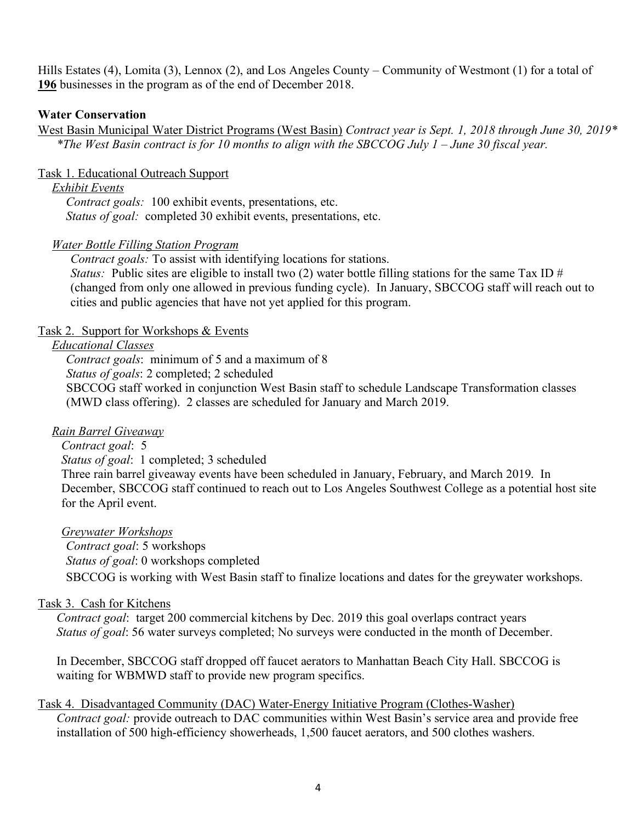Hills Estates (4), Lomita (3), Lennox (2), and Los Angeles County – Community of Westmont (1) for a total of **196** businesses in the program as of the end of December 2018.

### **Water Conservation**

West Basin Municipal Water District Programs (West Basin) *Contract year is Sept. 1, 2018 through June 30, 2019\* \*The West Basin contract is for 10 months to align with the SBCCOG July 1 – June 30 fiscal year.* 

### Task 1. Educational Outreach Support

#### *Exhibit Events*

*Contract goals:* 100 exhibit events, presentations, etc. *Status of goal:* completed 30 exhibit events, presentations, etc.

### *Water Bottle Filling Station Program*

*Contract goals:* To assist with identifying locations for stations. *Status:* Public sites are eligible to install two (2) water bottle filling stations for the same Tax ID # (changed from only one allowed in previous funding cycle). In January, SBCCOG staff will reach out to cities and public agencies that have not yet applied for this program.

### Task 2. Support for Workshops & Events

# *Educational Classes*

*Contract goals*: minimum of 5 and a maximum of 8 *Status of goals*: 2 completed; 2 scheduled SBCCOG staff worked in conjunction West Basin staff to schedule Landscape Transformation classes (MWD class offering). 2 classes are scheduled for January and March 2019.

#### *Rain Barrel Giveaway*

#### *Contract goal*: 5

*Status of goal*: 1 completed; 3 scheduled

Three rain barrel giveaway events have been scheduled in January, February, and March 2019. In December, SBCCOG staff continued to reach out to Los Angeles Southwest College as a potential host site for the April event.

#### *Greywater Workshops*

*Contract goal*: 5 workshops *Status of goal*: 0 workshops completed SBCCOG is working with West Basin staff to finalize locations and dates for the greywater workshops.

#### Task 3. Cash for Kitchens

*Contract goal*: target 200 commercial kitchens by Dec. 2019 this goal overlaps contract years *Status of goal*: 56 water surveys completed; No surveys were conducted in the month of December.

In December, SBCCOG staff dropped off faucet aerators to Manhattan Beach City Hall. SBCCOG is waiting for WBMWD staff to provide new program specifics.

#### Task 4. Disadvantaged Community (DAC) Water-Energy Initiative Program (Clothes-Washer)

*Contract goal:* provide outreach to DAC communities within West Basin's service area and provide free installation of 500 high-efficiency showerheads, 1,500 faucet aerators, and 500 clothes washers.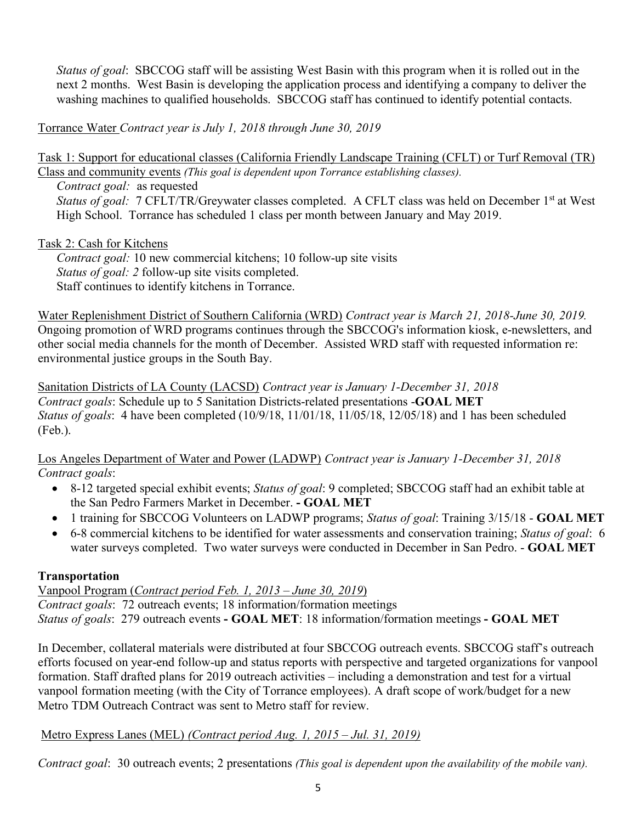*Status of goal*: SBCCOG staff will be assisting West Basin with this program when it is rolled out in the next 2 months. West Basin is developing the application process and identifying a company to deliver the washing machines to qualified households. SBCCOG staff has continued to identify potential contacts.

Torrance Water *Contract year is July 1, 2018 through June 30, 2019*

Task 1: Support for educational classes (California Friendly Landscape Training (CFLT) or Turf Removal (TR) Class and community events *(This goal is dependent upon Torrance establishing classes).*

*Contract goal:* as requested *Status of goal:* 7 CFLT/TR/Greywater classes completed. A CFLT class was held on December 1st at West High School. Torrance has scheduled 1 class per month between January and May 2019.

# Task 2: Cash for Kitchens

*Contract goal:* 10 new commercial kitchens; 10 follow-up site visits *Status of goal: 2* follow-up site visits completed. Staff continues to identify kitchens in Torrance.

Water Replenishment District of Southern California (WRD) *Contract year is March 21, 2018-June 30, 2019.*  Ongoing promotion of WRD programs continues through the SBCCOG's information kiosk, e-newsletters, and other social media channels for the month of December. Assisted WRD staff with requested information re: environmental justice groups in the South Bay.

Sanitation Districts of LA County (LACSD) *Contract year is January 1-December 31, 2018 Contract goals*: Schedule up to 5 Sanitation Districts-related presentations -**GOAL MET** *Status of goals*: 4 have been completed (10/9/18, 11/01/18, 11/05/18, 12/05/18) and 1 has been scheduled (Feb.).

Los Angeles Department of Water and Power (LADWP) *Contract year is January 1-December 31, 2018 Contract goals*:

- 8-12 targeted special exhibit events; *Status of goal*: 9 completed; SBCCOG staff had an exhibit table at the San Pedro Farmers Market in December. **- GOAL MET**
- 1 training for SBCCOG Volunteers on LADWP programs; *Status of goal*: Training 3/15/18 **GOAL MET**
- 6-8 commercial kitchens to be identified for water assessments and conservation training; *Status of goal*: 6 water surveys completed. Two water surveys were conducted in December in San Pedro. - **GOAL MET**

# **Transportation**

Vanpool Program (*Contract period Feb. 1, 2013 – June 30, 2019*) *Contract goals*: 72 outreach events; 18 information/formation meetings *Status of goals*: 279 outreach events **- GOAL MET**: 18 information/formation meetings **- GOAL MET**

In December, collateral materials were distributed at four SBCCOG outreach events. SBCCOG staff's outreach efforts focused on year-end follow-up and status reports with perspective and targeted organizations for vanpool formation. Staff drafted plans for 2019 outreach activities – including a demonstration and test for a virtual vanpool formation meeting (with the City of Torrance employees). A draft scope of work/budget for a new Metro TDM Outreach Contract was sent to Metro staff for review.

# Metro Express Lanes (MEL) *(Contract period Aug. 1, 2015 – Jul. 31, 2019)*

*Contract goal*: 30 outreach events; 2 presentations *(This goal is dependent upon the availability of the mobile van).*